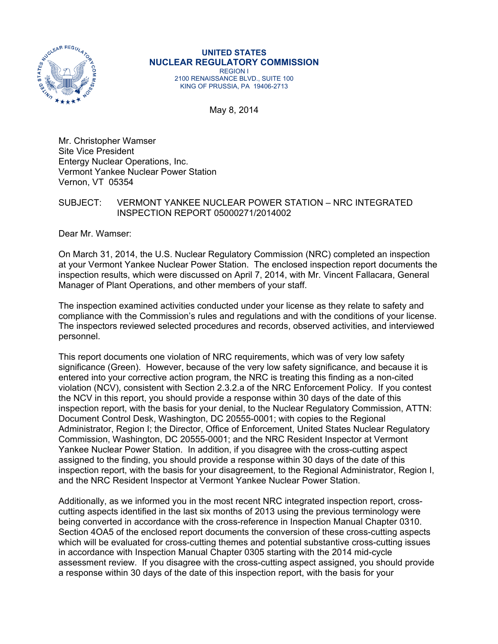

**UNITED STATES NUCLEAR REGULATORY COMMISSION**  REGION I 2100 RENAISSANCE BLVD., SUITE 100 KING OF PRUSSIA, PA 19406-2713

May 8, 2014

Mr. Christopher Wamser Site Vice President Entergy Nuclear Operations, Inc. Vermont Yankee Nuclear Power Station Vernon, VT 05354

## SUBJECT: VERMONT YANKEE NUCLEAR POWER STATION – NRC INTEGRATED INSPECTION REPORT 05000271/2014002

Dear Mr. Wamser:

On March 31, 2014, the U.S. Nuclear Regulatory Commission (NRC) completed an inspection at your Vermont Yankee Nuclear Power Station. The enclosed inspection report documents the inspection results, which were discussed on April 7, 2014, with Mr. Vincent Fallacara, General Manager of Plant Operations, and other members of your staff.

The inspection examined activities conducted under your license as they relate to safety and compliance with the Commission's rules and regulations and with the conditions of your license. The inspectors reviewed selected procedures and records, observed activities, and interviewed personnel.

This report documents one violation of NRC requirements, which was of very low safety significance (Green). However, because of the very low safety significance, and because it is entered into your corrective action program, the NRC is treating this finding as a non-cited violation (NCV), consistent with Section 2.3.2.a of the NRC Enforcement Policy. If you contest the NCV in this report, you should provide a response within 30 days of the date of this inspection report, with the basis for your denial, to the Nuclear Regulatory Commission, ATTN: Document Control Desk, Washington, DC 20555-0001; with copies to the Regional Administrator, Region I; the Director, Office of Enforcement, United States Nuclear Regulatory Commission, Washington, DC 20555-0001; and the NRC Resident Inspector at Vermont Yankee Nuclear Power Station. In addition, if you disagree with the cross-cutting aspect assigned to the finding, you should provide a response within 30 days of the date of this inspection report, with the basis for your disagreement, to the Regional Administrator, Region I, and the NRC Resident Inspector at Vermont Yankee Nuclear Power Station.

Additionally, as we informed you in the most recent NRC integrated inspection report, crosscutting aspects identified in the last six months of 2013 using the previous terminology were being converted in accordance with the cross-reference in Inspection Manual Chapter 0310. Section 4OA5 of the enclosed report documents the conversion of these cross-cutting aspects which will be evaluated for cross-cutting themes and potential substantive cross-cutting issues in accordance with Inspection Manual Chapter 0305 starting with the 2014 mid-cycle assessment review. If you disagree with the cross-cutting aspect assigned, you should provide a response within 30 days of the date of this inspection report, with the basis for your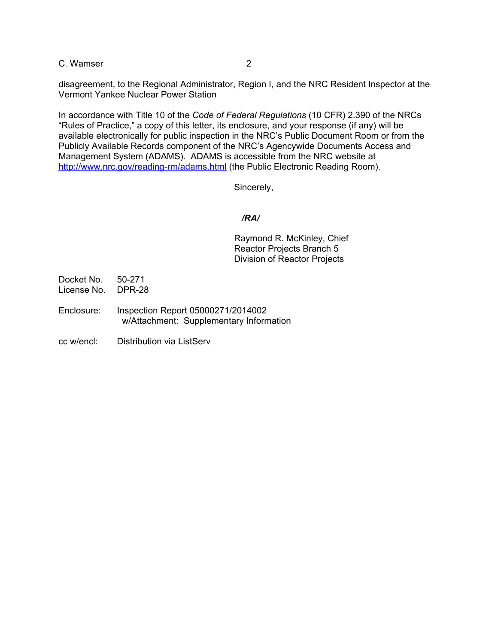C. Wamser 2

disagreement, to the Regional Administrator, Region I, and the NRC Resident Inspector at the Vermont Yankee Nuclear Power Station

In accordance with Title 10 of the *Code of Federal Regulations* (10 CFR) 2.390 of the NRCs "Rules of Practice," a copy of this letter, its enclosure, and your response (if any) will be available electronically for public inspection in the NRC's Public Document Room or from the Publicly Available Records component of the NRC's Agencywide Documents Access and Management System (ADAMS). ADAMS is accessible from the NRC website at http://www.nrc.gov/reading-rm/adams.html (the Public Electronic Reading Room).

Sincerely,

# */RA/*

 Raymond R. McKinley, Chief Reactor Projects Branch 5 Division of Reactor Projects

- Docket No. 50-271 License No. DPR-28
- Enclosure: Inspection Report 05000271/2014002 w/Attachment: Supplementary Information
- cc w/encl: Distribution via ListServ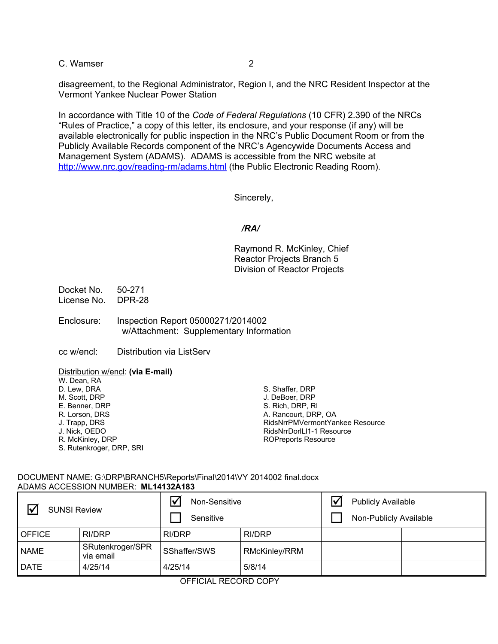C. Wamser 2

disagreement, to the Regional Administrator, Region I, and the NRC Resident Inspector at the Vermont Yankee Nuclear Power Station

In accordance with Title 10 of the *Code of Federal Regulations* (10 CFR) 2.390 of the NRCs "Rules of Practice," a copy of this letter, its enclosure, and your response (if any) will be available electronically for public inspection in the NRC's Public Document Room or from the Publicly Available Records component of the NRC's Agencywide Documents Access and Management System (ADAMS). ADAMS is accessible from the NRC website at http://www.nrc.gov/reading-rm/adams.html (the Public Electronic Reading Room).

Sincerely,

## */RA/*

Raymond R. McKinley, Chief Reactor Projects Branch 5 Division of Reactor Projects

Docket No. 50-271 License No. DPR-28

Enclosure: Inspection Report 05000271/2014002 w/Attachment: Supplementary Information

cc w/encl: Distribution via ListServ

Distribution w/encl: **(via E-mail)**

| S. Shaffer, DRP                 |
|---------------------------------|
| J. DeBoer, DRP                  |
| S. Rich, DRP, RI                |
| A. Rancourt, DRP, OA            |
| RidsNrrPMVermontYankee Resource |
| RidsNrrDorlLI1-1 Resource       |
| <b>ROPreports Resource</b>      |
|                                 |
|                                 |

#### DOCUMENT NAME: G:\DRP\BRANCH5\Reports\Final\2014\VY 2014002 final.docx ADAMS ACCESSION NUMBER: **ML14132A183**

| 冈<br><b>SUNSI Review</b> |                               | Non-Sensitive<br>Sensitive |               | <b>Publicly Available</b><br>Non-Publicly Available |  |
|--------------------------|-------------------------------|----------------------------|---------------|-----------------------------------------------------|--|
| OFFICE                   | <b>RI/DRP</b>                 | RI/DRP                     | RI/DRP        |                                                     |  |
| <b>NAME</b>              | SRutenkroger/SPR<br>via email | SShaffer/SWS               | RMcKinley/RRM |                                                     |  |
| I DATE                   | 4/25/14                       | 4/25/14                    | 5/8/14        |                                                     |  |

OFFICIAL RECORD COPY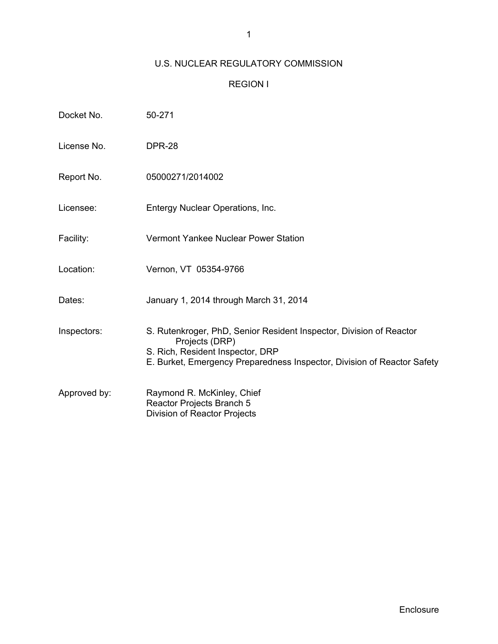# U.S. NUCLEAR REGULATORY COMMISSION

# REGION I

| Docket No.   | 50-271                                                                                                                                                                                               |
|--------------|------------------------------------------------------------------------------------------------------------------------------------------------------------------------------------------------------|
| License No.  | <b>DPR-28</b>                                                                                                                                                                                        |
| Report No.   | 05000271/2014002                                                                                                                                                                                     |
| Licensee:    | Entergy Nuclear Operations, Inc.                                                                                                                                                                     |
| Facility:    | Vermont Yankee Nuclear Power Station                                                                                                                                                                 |
| Location:    | Vernon, VT 05354-9766                                                                                                                                                                                |
| Dates:       | January 1, 2014 through March 31, 2014                                                                                                                                                               |
| Inspectors:  | S. Rutenkroger, PhD, Senior Resident Inspector, Division of Reactor<br>Projects (DRP)<br>S. Rich, Resident Inspector, DRP<br>E. Burket, Emergency Preparedness Inspector, Division of Reactor Safety |
| Approved by: | Raymond R. McKinley, Chief<br>Reactor Projects Branch 5<br>Division of Reactor Projects                                                                                                              |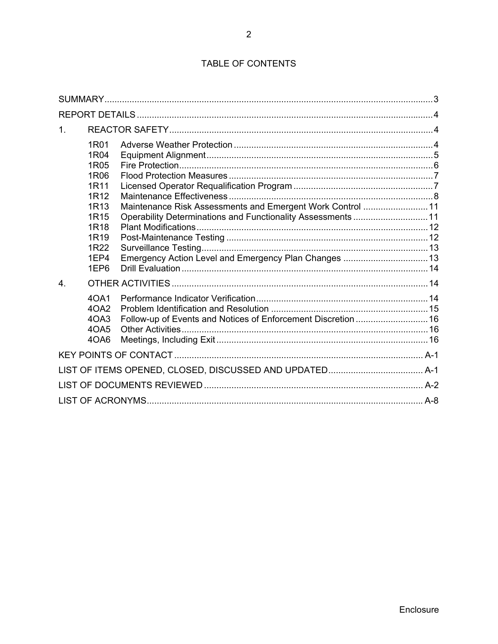| 1.             |                                                                                                                                          |                                                                                                                                                                                   |  |
|----------------|------------------------------------------------------------------------------------------------------------------------------------------|-----------------------------------------------------------------------------------------------------------------------------------------------------------------------------------|--|
|                | 1R01<br>1R04<br>1R05<br>1R06<br>1R11<br>1R12<br>1R <sub>13</sub><br>1R15<br>1R <sub>18</sub><br>1R <sub>19</sub><br>1R22<br>1EP4<br>1EP6 | Maintenance Risk Assessments and Emergent Work Control 11<br>Operability Determinations and Functionality Assessments 11<br>Emergency Action Level and Emergency Plan Changes  13 |  |
| 4 <sub>1</sub> |                                                                                                                                          |                                                                                                                                                                                   |  |
|                | 40A1<br>40A2<br>4OA3<br>40A5<br>4OA6                                                                                                     | Follow-up of Events and Notices of Enforcement Discretion  16                                                                                                                     |  |
|                |                                                                                                                                          |                                                                                                                                                                                   |  |
|                |                                                                                                                                          |                                                                                                                                                                                   |  |
|                |                                                                                                                                          |                                                                                                                                                                                   |  |
|                |                                                                                                                                          |                                                                                                                                                                                   |  |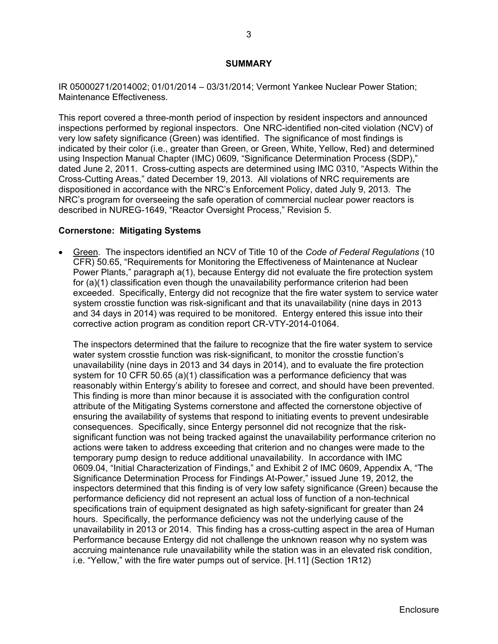#### **SUMMARY**

IR 05000271/2014002; 01/01/2014 – 03/31/2014; Vermont Yankee Nuclear Power Station; Maintenance Effectiveness.

This report covered a three-month period of inspection by resident inspectors and announced inspections performed by regional inspectors. One NRC-identified non-cited violation (NCV) of very low safety significance (Green) was identified. The significance of most findings is indicated by their color (i.e., greater than Green, or Green, White, Yellow, Red) and determined using Inspection Manual Chapter (IMC) 0609, "Significance Determination Process (SDP)," dated June 2, 2011. Cross-cutting aspects are determined using IMC 0310, "Aspects Within the Cross-Cutting Areas," dated December 19, 2013. All violations of NRC requirements are dispositioned in accordance with the NRC's Enforcement Policy, dated July 9, 2013. The NRC's program for overseeing the safe operation of commercial nuclear power reactors is described in NUREG-1649, "Reactor Oversight Process," Revision 5.

#### **Cornerstone: Mitigating Systems**

 Green. The inspectors identified an NCV of Title 10 of the *Code of Federal Regulations* (10 CFR) 50.65, "Requirements for Monitoring the Effectiveness of Maintenance at Nuclear Power Plants," paragraph a(1), because Entergy did not evaluate the fire protection system for (a)(1) classification even though the unavailability performance criterion had been exceeded. Specifically, Entergy did not recognize that the fire water system to service water system crosstie function was risk-significant and that its unavailability (nine days in 2013 and 34 days in 2014) was required to be monitored. Entergy entered this issue into their corrective action program as condition report CR-VTY-2014-01064.

The inspectors determined that the failure to recognize that the fire water system to service water system crosstie function was risk-significant, to monitor the crosstie function's unavailability (nine days in 2013 and 34 days in 2014), and to evaluate the fire protection system for 10 CFR 50.65 (a)(1) classification was a performance deficiency that was reasonably within Entergy's ability to foresee and correct, and should have been prevented. This finding is more than minor because it is associated with the configuration control attribute of the Mitigating Systems cornerstone and affected the cornerstone objective of ensuring the availability of systems that respond to initiating events to prevent undesirable consequences. Specifically, since Entergy personnel did not recognize that the risksignificant function was not being tracked against the unavailability performance criterion no actions were taken to address exceeding that criterion and no changes were made to the temporary pump design to reduce additional unavailability. In accordance with IMC 0609.04, "Initial Characterization of Findings," and Exhibit 2 of IMC 0609, Appendix A, "The Significance Determination Process for Findings At-Power," issued June 19, 2012, the inspectors determined that this finding is of very low safety significance (Green) because the performance deficiency did not represent an actual loss of function of a non-technical specifications train of equipment designated as high safety-significant for greater than 24 hours. Specifically, the performance deficiency was not the underlying cause of the unavailability in 2013 or 2014. This finding has a cross-cutting aspect in the area of Human Performance because Entergy did not challenge the unknown reason why no system was accruing maintenance rule unavailability while the station was in an elevated risk condition, i.e. "Yellow," with the fire water pumps out of service. [H.11] (Section 1R12)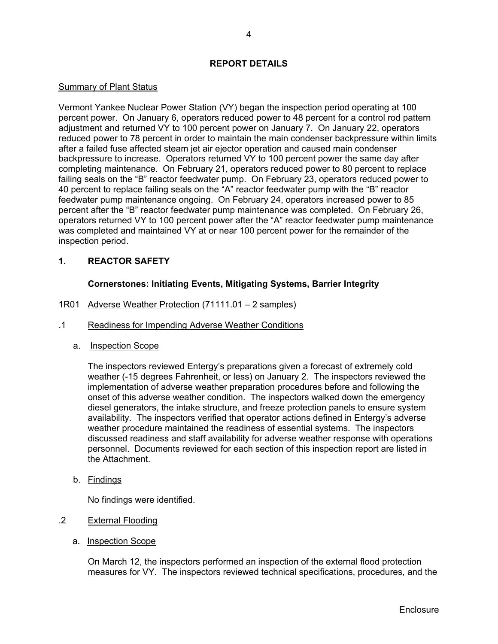## **REPORT DETAILS**

## Summary of Plant Status

Vermont Yankee Nuclear Power Station (VY) began the inspection period operating at 100 percent power. On January 6, operators reduced power to 48 percent for a control rod pattern adjustment and returned VY to 100 percent power on January 7. On January 22, operators reduced power to 78 percent in order to maintain the main condenser backpressure within limits after a failed fuse affected steam jet air ejector operation and caused main condenser backpressure to increase. Operators returned VY to 100 percent power the same day after completing maintenance. On February 21, operators reduced power to 80 percent to replace failing seals on the "B" reactor feedwater pump. On February 23, operators reduced power to 40 percent to replace failing seals on the "A" reactor feedwater pump with the "B" reactor feedwater pump maintenance ongoing. On February 24, operators increased power to 85 percent after the "B" reactor feedwater pump maintenance was completed. On February 26, operators returned VY to 100 percent power after the "A" reactor feedwater pump maintenance was completed and maintained VY at or near 100 percent power for the remainder of the inspection period.

# **1. REACTOR SAFETY**

## **Cornerstones: Initiating Events, Mitigating Systems, Barrier Integrity**

- 1R01 Adverse Weather Protection (71111.01 2 samples)
- .1 Readiness for Impending Adverse Weather Conditions
	- a. Inspection Scope

The inspectors reviewed Entergy's preparations given a forecast of extremely cold weather (-15 degrees Fahrenheit, or less) on January 2. The inspectors reviewed the implementation of adverse weather preparation procedures before and following the onset of this adverse weather condition. The inspectors walked down the emergency diesel generators, the intake structure, and freeze protection panels to ensure system availability. The inspectors verified that operator actions defined in Entergy's adverse weather procedure maintained the readiness of essential systems. The inspectors discussed readiness and staff availability for adverse weather response with operations personnel. Documents reviewed for each section of this inspection report are listed in the Attachment.

b. Findings

No findings were identified.

- .2 External Flooding
	- a. Inspection Scope

On March 12, the inspectors performed an inspection of the external flood protection measures for VY. The inspectors reviewed technical specifications, procedures, and the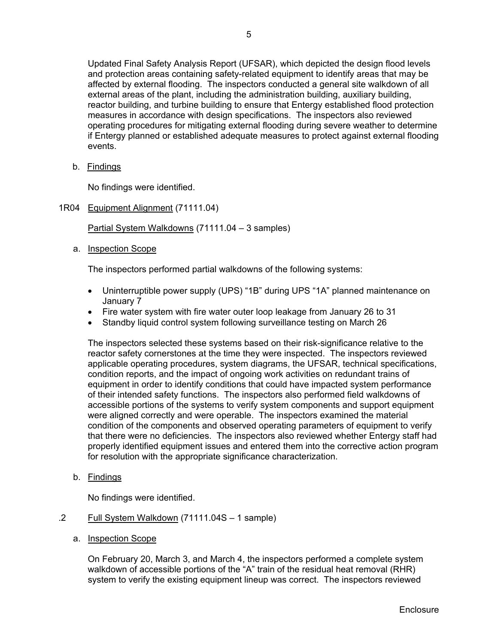Updated Final Safety Analysis Report (UFSAR), which depicted the design flood levels and protection areas containing safety-related equipment to identify areas that may be affected by external flooding. The inspectors conducted a general site walkdown of all external areas of the plant, including the administration building, auxiliary building, reactor building, and turbine building to ensure that Entergy established flood protection measures in accordance with design specifications. The inspectors also reviewed operating procedures for mitigating external flooding during severe weather to determine if Entergy planned or established adequate measures to protect against external flooding events.

b. Findings

No findings were identified.

1R04 Equipment Alignment (71111.04)

Partial System Walkdowns (71111.04 – 3 samples)

a. Inspection Scope

The inspectors performed partial walkdowns of the following systems:

- Uninterruptible power supply (UPS) "1B" during UPS "1A" planned maintenance on January 7
- Fire water system with fire water outer loop leakage from January 26 to 31
- Standby liquid control system following surveillance testing on March 26

The inspectors selected these systems based on their risk-significance relative to the reactor safety cornerstones at the time they were inspected. The inspectors reviewed applicable operating procedures, system diagrams, the UFSAR, technical specifications, condition reports, and the impact of ongoing work activities on redundant trains of equipment in order to identify conditions that could have impacted system performance of their intended safety functions. The inspectors also performed field walkdowns of accessible portions of the systems to verify system components and support equipment were aligned correctly and were operable. The inspectors examined the material condition of the components and observed operating parameters of equipment to verify that there were no deficiencies. The inspectors also reviewed whether Entergy staff had properly identified equipment issues and entered them into the corrective action program for resolution with the appropriate significance characterization.

b. Findings

No findings were identified.

- .2 Full System Walkdown (71111.04S 1 sample)
	- a. Inspection Scope

On February 20, March 3, and March 4, the inspectors performed a complete system walkdown of accessible portions of the "A" train of the residual heat removal (RHR) system to verify the existing equipment lineup was correct. The inspectors reviewed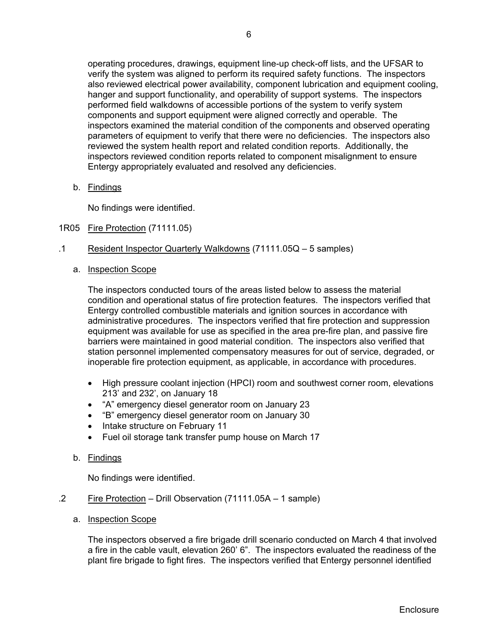operating procedures, drawings, equipment line-up check-off lists, and the UFSAR to verify the system was aligned to perform its required safety functions. The inspectors also reviewed electrical power availability, component lubrication and equipment cooling, hanger and support functionality, and operability of support systems. The inspectors performed field walkdowns of accessible portions of the system to verify system components and support equipment were aligned correctly and operable. The inspectors examined the material condition of the components and observed operating parameters of equipment to verify that there were no deficiencies. The inspectors also reviewed the system health report and related condition reports. Additionally, the inspectors reviewed condition reports related to component misalignment to ensure Entergy appropriately evaluated and resolved any deficiencies.

b. Findings

No findings were identified.

- 1R05 Fire Protection (71111.05)
- .1 Resident Inspector Quarterly Walkdowns (71111.05Q 5 samples)
	- a. Inspection Scope

The inspectors conducted tours of the areas listed below to assess the material condition and operational status of fire protection features. The inspectors verified that Entergy controlled combustible materials and ignition sources in accordance with administrative procedures. The inspectors verified that fire protection and suppression equipment was available for use as specified in the area pre-fire plan, and passive fire barriers were maintained in good material condition. The inspectors also verified that station personnel implemented compensatory measures for out of service, degraded, or inoperable fire protection equipment, as applicable, in accordance with procedures.

- High pressure coolant injection (HPCI) room and southwest corner room, elevations 213' and 232', on January 18
- "A" emergency diesel generator room on January 23
- "B" emergency diesel generator room on January 30
- Intake structure on February 11
- Fuel oil storage tank transfer pump house on March 17
- b. Findings

No findings were identified.

- .2 Fire Protection Drill Observation (71111.05A 1 sample)
	- a. Inspection Scope

The inspectors observed a fire brigade drill scenario conducted on March 4 that involved a fire in the cable vault, elevation 260' 6". The inspectors evaluated the readiness of the plant fire brigade to fight fires. The inspectors verified that Entergy personnel identified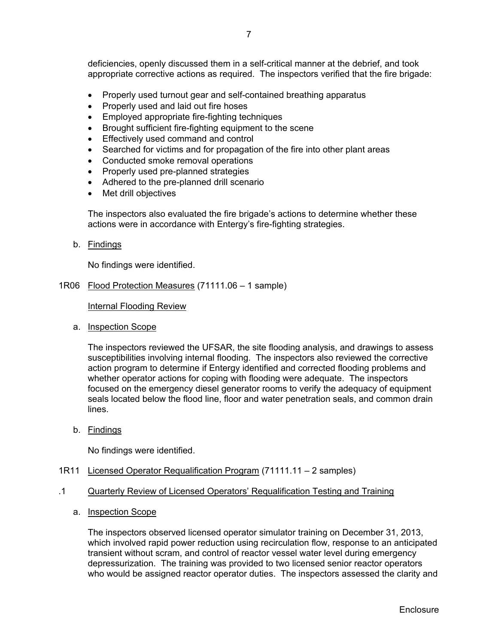deficiencies, openly discussed them in a self-critical manner at the debrief, and took appropriate corrective actions as required. The inspectors verified that the fire brigade:

- Properly used turnout gear and self-contained breathing apparatus
- Properly used and laid out fire hoses
- Employed appropriate fire-fighting techniques
- Brought sufficient fire-fighting equipment to the scene
- **Effectively used command and control**
- Searched for victims and for propagation of the fire into other plant areas
- Conducted smoke removal operations
- Properly used pre-planned strategies
- Adhered to the pre-planned drill scenario
- Met drill objectives

The inspectors also evaluated the fire brigade's actions to determine whether these actions were in accordance with Entergy's fire-fighting strategies.

b. Findings

No findings were identified.

1R06 Flood Protection Measures (71111.06 – 1 sample)

Internal Flooding Review

a. Inspection Scope

The inspectors reviewed the UFSAR, the site flooding analysis, and drawings to assess susceptibilities involving internal flooding. The inspectors also reviewed the corrective action program to determine if Entergy identified and corrected flooding problems and whether operator actions for coping with flooding were adequate. The inspectors focused on the emergency diesel generator rooms to verify the adequacy of equipment seals located below the flood line, floor and water penetration seals, and common drain lines.

b. Findings

No findings were identified.

- 1R11 Licensed Operator Requalification Program (71111.11 2 samples)
- .1 Quarterly Review of Licensed Operators' Requalification Testing and Training
	- a. Inspection Scope

The inspectors observed licensed operator simulator training on December 31, 2013, which involved rapid power reduction using recirculation flow, response to an anticipated transient without scram, and control of reactor vessel water level during emergency depressurization. The training was provided to two licensed senior reactor operators who would be assigned reactor operator duties. The inspectors assessed the clarity and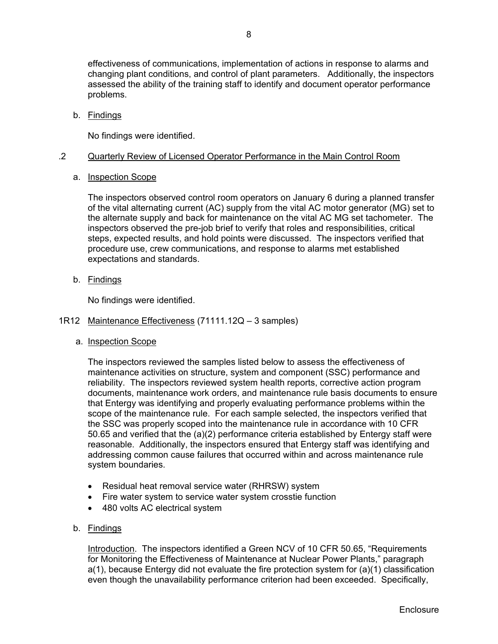effectiveness of communications, implementation of actions in response to alarms and changing plant conditions, and control of plant parameters. Additionally, the inspectors assessed the ability of the training staff to identify and document operator performance problems.

b. Findings

No findings were identified.

## .2 Quarterly Review of Licensed Operator Performance in the Main Control Room

## a. Inspection Scope

The inspectors observed control room operators on January 6 during a planned transfer of the vital alternating current (AC) supply from the vital AC motor generator (MG) set to the alternate supply and back for maintenance on the vital AC MG set tachometer. The inspectors observed the pre-job brief to verify that roles and responsibilities, critical steps, expected results, and hold points were discussed. The inspectors verified that procedure use, crew communications, and response to alarms met established expectations and standards.

b. Findings

No findings were identified.

## 1R12 Maintenance Effectiveness (71111.12Q – 3 samples)

a. Inspection Scope

The inspectors reviewed the samples listed below to assess the effectiveness of maintenance activities on structure, system and component (SSC) performance and reliability. The inspectors reviewed system health reports, corrective action program documents, maintenance work orders, and maintenance rule basis documents to ensure that Entergy was identifying and properly evaluating performance problems within the scope of the maintenance rule. For each sample selected, the inspectors verified that the SSC was properly scoped into the maintenance rule in accordance with 10 CFR 50.65 and verified that the (a)(2) performance criteria established by Entergy staff were reasonable. Additionally, the inspectors ensured that Entergy staff was identifying and addressing common cause failures that occurred within and across maintenance rule system boundaries.

- Residual heat removal service water (RHRSW) system
- Fire water system to service water system crosstie function
- 480 volts AC electrical system
- b. Findings

Introduction. The inspectors identified a Green NCV of 10 CFR 50.65, "Requirements for Monitoring the Effectiveness of Maintenance at Nuclear Power Plants," paragraph a(1), because Entergy did not evaluate the fire protection system for (a)(1) classification even though the unavailability performance criterion had been exceeded. Specifically,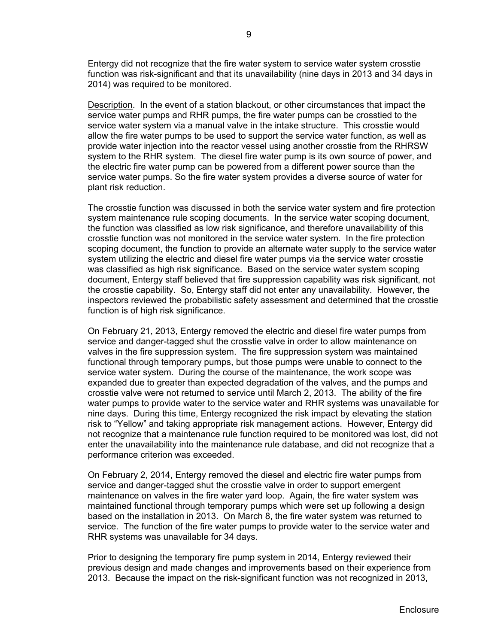Entergy did not recognize that the fire water system to service water system crosstie function was risk-significant and that its unavailability (nine days in 2013 and 34 days in 2014) was required to be monitored.

Description. In the event of a station blackout, or other circumstances that impact the service water pumps and RHR pumps, the fire water pumps can be crosstied to the service water system via a manual valve in the intake structure. This crosstie would allow the fire water pumps to be used to support the service water function, as well as provide water injection into the reactor vessel using another crosstie from the RHRSW system to the RHR system. The diesel fire water pump is its own source of power, and the electric fire water pump can be powered from a different power source than the service water pumps. So the fire water system provides a diverse source of water for plant risk reduction.

The crosstie function was discussed in both the service water system and fire protection system maintenance rule scoping documents. In the service water scoping document, the function was classified as low risk significance, and therefore unavailability of this crosstie function was not monitored in the service water system. In the fire protection scoping document, the function to provide an alternate water supply to the service water system utilizing the electric and diesel fire water pumps via the service water crosstie was classified as high risk significance. Based on the service water system scoping document, Entergy staff believed that fire suppression capability was risk significant, not the crosstie capability. So, Entergy staff did not enter any unavailability. However, the inspectors reviewed the probabilistic safety assessment and determined that the crosstie function is of high risk significance.

On February 21, 2013, Entergy removed the electric and diesel fire water pumps from service and danger-tagged shut the crosstie valve in order to allow maintenance on valves in the fire suppression system. The fire suppression system was maintained functional through temporary pumps, but those pumps were unable to connect to the service water system. During the course of the maintenance, the work scope was expanded due to greater than expected degradation of the valves, and the pumps and crosstie valve were not returned to service until March 2, 2013. The ability of the fire water pumps to provide water to the service water and RHR systems was unavailable for nine days. During this time, Entergy recognized the risk impact by elevating the station risk to "Yellow" and taking appropriate risk management actions. However, Entergy did not recognize that a maintenance rule function required to be monitored was lost, did not enter the unavailability into the maintenance rule database, and did not recognize that a performance criterion was exceeded.

On February 2, 2014, Entergy removed the diesel and electric fire water pumps from service and danger-tagged shut the crosstie valve in order to support emergent maintenance on valves in the fire water yard loop. Again, the fire water system was maintained functional through temporary pumps which were set up following a design based on the installation in 2013. On March 8, the fire water system was returned to service. The function of the fire water pumps to provide water to the service water and RHR systems was unavailable for 34 days.

Prior to designing the temporary fire pump system in 2014, Entergy reviewed their previous design and made changes and improvements based on their experience from 2013. Because the impact on the risk-significant function was not recognized in 2013,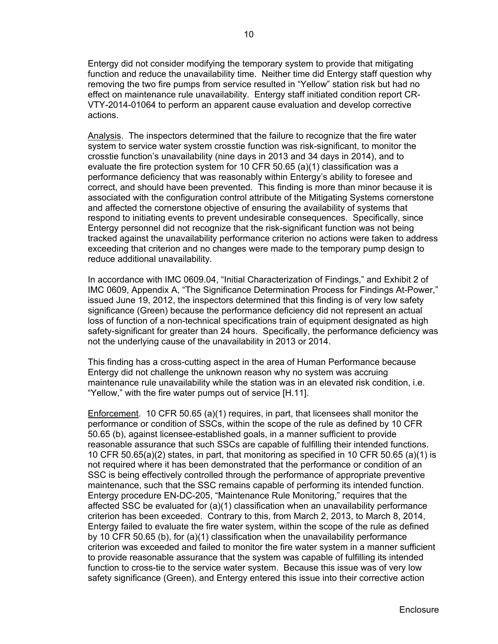Entergy did not consider modifying the temporary system to provide that mitigating function and reduce the unavailability time. Neither time did Entergy staff question why removing the two fire pumps from service resulted in "Yellow" station risk but had no effect on maintenance rule unavailability. Entergy staff initiated condition report CR-VTY-2014-01064 to perform an apparent cause evaluation and develop corrective actions.

Analysis. The inspectors determined that the failure to recognize that the fire water system to service water system crosstie function was risk-significant, to monitor the crosstie function's unavailability (nine days in 2013 and 34 days in 2014), and to evaluate the fire protection system for 10 CFR 50.65 (a)(1) classification was a performance deficiency that was reasonably within Entergy's ability to foresee and correct, and should have been prevented. This finding is more than minor because it is associated with the configuration control attribute of the Mitigating Systems cornerstone and affected the cornerstone objective of ensuring the availability of systems that respond to initiating events to prevent undesirable consequences. Specifically, since Entergy personnel did not recognize that the risk-significant function was not being tracked against the unavailability performance criterion no actions were taken to address exceeding that criterion and no changes were made to the temporary pump design to reduce additional unavailability.

In accordance with IMC 0609.04, "Initial Characterization of Findings," and Exhibit 2 of IMC 0609, Appendix A, "The Significance Determination Process for Findings At-Power," issued June 19, 2012, the inspectors determined that this finding is of very low safety significance (Green) because the performance deficiency did not represent an actual loss of function of a non-technical specifications train of equipment designated as high safety-significant for greater than 24 hours. Specifically, the performance deficiency was not the underlying cause of the unavailability in 2013 or 2014.

This finding has a cross-cutting aspect in the area of Human Performance because Entergy did not challenge the unknown reason why no system was accruing maintenance rule unavailability while the station was in an elevated risk condition, i.e. "Yellow," with the fire water pumps out of service [H.11].

Enforcement. 10 CFR 50.65 (a)(1) requires, in part, that licensees shall monitor the performance or condition of SSCs, within the scope of the rule as defined by 10 CFR 50.65 (b), against licensee-established goals, in a manner sufficient to provide reasonable assurance that such SSCs are capable of fulfilling their intended functions. 10 CFR 50.65(a)(2) states, in part, that monitoring as specified in 10 CFR 50.65 (a)(1) is not required where it has been demonstrated that the performance or condition of an SSC is being effectively controlled through the performance of appropriate preventive maintenance, such that the SSC remains capable of performing its intended function. Entergy procedure EN-DC-205, "Maintenance Rule Monitoring," requires that the affected SSC be evaluated for (a)(1) classification when an unavailability performance criterion has been exceeded. Contrary to this, from March 2, 2013, to March 8, 2014, Entergy failed to evaluate the fire water system, within the scope of the rule as defined by 10 CFR 50.65 (b), for (a)(1) classification when the unavailability performance criterion was exceeded and failed to monitor the fire water system in a manner sufficient to provide reasonable assurance that the system was capable of fulfilling its intended function to cross-tie to the service water system. Because this issue was of very low safety significance (Green), and Entergy entered this issue into their corrective action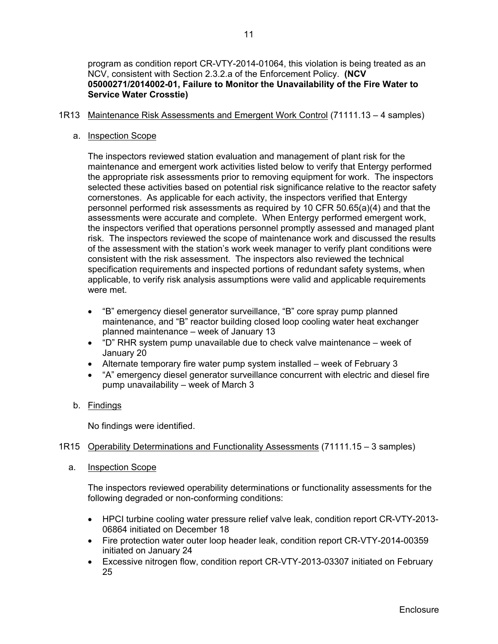program as condition report CR-VTY-2014-01064, this violation is being treated as an NCV, consistent with Section 2.3.2.a of the Enforcement Policy. **(NCV 05000271/2014002-01, Failure to Monitor the Unavailability of the Fire Water to Service Water Crosstie)**

## 1R13 Maintenance Risk Assessments and Emergent Work Control (71111.13 – 4 samples)

#### a. Inspection Scope

The inspectors reviewed station evaluation and management of plant risk for the maintenance and emergent work activities listed below to verify that Entergy performed the appropriate risk assessments prior to removing equipment for work. The inspectors selected these activities based on potential risk significance relative to the reactor safety cornerstones. As applicable for each activity, the inspectors verified that Entergy personnel performed risk assessments as required by 10 CFR 50.65(a)(4) and that the assessments were accurate and complete. When Entergy performed emergent work, the inspectors verified that operations personnel promptly assessed and managed plant risk. The inspectors reviewed the scope of maintenance work and discussed the results of the assessment with the station's work week manager to verify plant conditions were consistent with the risk assessment. The inspectors also reviewed the technical specification requirements and inspected portions of redundant safety systems, when applicable, to verify risk analysis assumptions were valid and applicable requirements were met.

- "B" emergency diesel generator surveillance, "B" core spray pump planned maintenance, and "B" reactor building closed loop cooling water heat exchanger planned maintenance – week of January 13
- "D" RHR system pump unavailable due to check valve maintenance week of January 20
- Alternate temporary fire water pump system installed week of February 3
- "A" emergency diesel generator surveillance concurrent with electric and diesel fire pump unavailability – week of March 3

## b. Findings

No findings were identified.

## 1R15 Operability Determinations and Functionality Assessments (71111.15 – 3 samples)

a. Inspection Scope

The inspectors reviewed operability determinations or functionality assessments for the following degraded or non-conforming conditions:

- HPCI turbine cooling water pressure relief valve leak, condition report CR-VTY-2013- 06864 initiated on December 18
- Fire protection water outer loop header leak, condition report CR-VTY-2014-00359 initiated on January 24
- Excessive nitrogen flow, condition report CR-VTY-2013-03307 initiated on February 25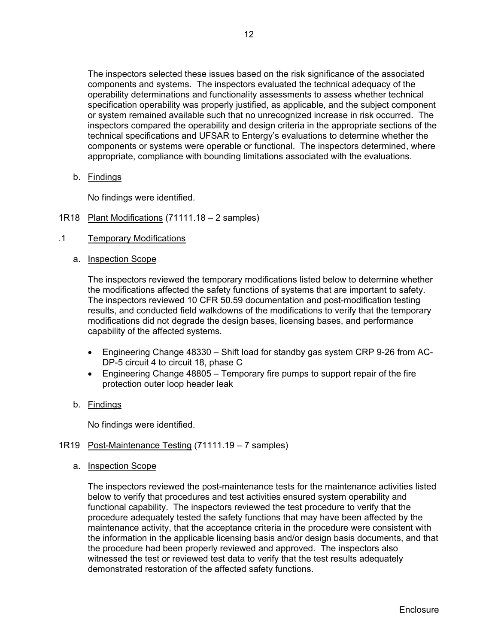The inspectors selected these issues based on the risk significance of the associated components and systems. The inspectors evaluated the technical adequacy of the operability determinations and functionality assessments to assess whether technical specification operability was properly justified, as applicable, and the subject component or system remained available such that no unrecognized increase in risk occurred. The inspectors compared the operability and design criteria in the appropriate sections of the technical specifications and UFSAR to Entergy's evaluations to determine whether the components or systems were operable or functional. The inspectors determined, where appropriate, compliance with bounding limitations associated with the evaluations.

b. Findings

No findings were identified.

- 1R18 Plant Modifications (71111.18 2 samples)
- .1 Temporary Modifications
	- a. Inspection Scope

The inspectors reviewed the temporary modifications listed below to determine whether the modifications affected the safety functions of systems that are important to safety. The inspectors reviewed 10 CFR 50.59 documentation and post-modification testing results, and conducted field walkdowns of the modifications to verify that the temporary modifications did not degrade the design bases, licensing bases, and performance capability of the affected systems.

- Engineering Change 48330 Shift load for standby gas system CRP 9-26 from AC-DP-5 circuit 4 to circuit 18, phase C
- Engineering Change 48805 Temporary fire pumps to support repair of the fire protection outer loop header leak
- b. Findings

No findings were identified.

## 1R19 Post-Maintenance Testing (71111.19 – 7 samples)

a. Inspection Scope

The inspectors reviewed the post-maintenance tests for the maintenance activities listed below to verify that procedures and test activities ensured system operability and functional capability. The inspectors reviewed the test procedure to verify that the procedure adequately tested the safety functions that may have been affected by the maintenance activity, that the acceptance criteria in the procedure were consistent with the information in the applicable licensing basis and/or design basis documents, and that the procedure had been properly reviewed and approved. The inspectors also witnessed the test or reviewed test data to verify that the test results adequately demonstrated restoration of the affected safety functions.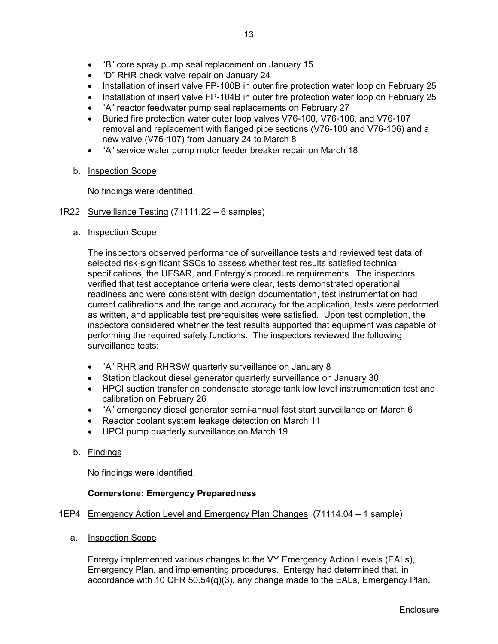- "B" core spray pump seal replacement on January 15
- "D" RHR check valve repair on January 24
- Installation of insert valve FP-100B in outer fire protection water loop on February 25
- Installation of insert valve FP-104B in outer fire protection water loop on February 25
- "A" reactor feedwater pump seal replacements on February 27
- Buried fire protection water outer loop valves V76-100, V76-106, and V76-107 removal and replacement with flanged pipe sections (V76-100 and V76-106) and a new valve (V76-107) from January 24 to March 8
- "A" service water pump motor feeder breaker repair on March 18
- b. Inspection Scope

No findings were identified.

- 1R22 Surveillance Testing (71111.22 6 samples)
	- a. Inspection Scope

The inspectors observed performance of surveillance tests and reviewed test data of selected risk-significant SSCs to assess whether test results satisfied technical specifications, the UFSAR, and Entergy's procedure requirements. The inspectors verified that test acceptance criteria were clear, tests demonstrated operational readiness and were consistent with design documentation, test instrumentation had current calibrations and the range and accuracy for the application, tests were performed as written, and applicable test prerequisites were satisfied. Upon test completion, the inspectors considered whether the test results supported that equipment was capable of performing the required safety functions. The inspectors reviewed the following surveillance tests:

- "A" RHR and RHRSW quarterly surveillance on January 8
- Station blackout diesel generator quarterly surveillance on January 30
- HPCI suction transfer on condensate storage tank low level instrumentation test and calibration on February 26
- "A" emergency diesel generator semi-annual fast start surveillance on March 6
- Reactor coolant system leakage detection on March 11
- HPCI pump quarterly surveillance on March 19
- b. Findings

No findings were identified.

## **Cornerstone: Emergency Preparedness**

# 1EP4 Emergency Action Level and Emergency Plan Changes (71114.04 - 1 sample)

a. Inspection Scope

Entergy implemented various changes to the VY Emergency Action Levels (EALs), Emergency Plan, and implementing procedures. Entergy had determined that, in accordance with 10 CFR 50.54(q)(3), any change made to the EALs, Emergency Plan,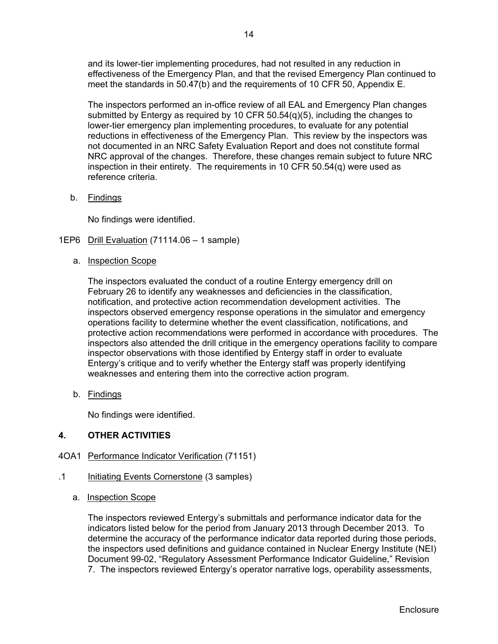and its lower-tier implementing procedures, had not resulted in any reduction in effectiveness of the Emergency Plan, and that the revised Emergency Plan continued to meet the standards in 50.47(b) and the requirements of 10 CFR 50, Appendix E.

The inspectors performed an in-office review of all EAL and Emergency Plan changes submitted by Entergy as required by 10 CFR  $50.54(q)(5)$ , including the changes to lower-tier emergency plan implementing procedures, to evaluate for any potential reductions in effectiveness of the Emergency Plan. This review by the inspectors was not documented in an NRC Safety Evaluation Report and does not constitute formal NRC approval of the changes. Therefore, these changes remain subject to future NRC inspection in their entirety. The requirements in 10 CFR  $50.54(q)$  were used as reference criteria.

b. Findings

No findings were identified.

- 1EP6 Drill Evaluation (71114.06 1 sample)
	- a. Inspection Scope

The inspectors evaluated the conduct of a routine Entergy emergency drill on February 26 to identify any weaknesses and deficiencies in the classification, notification, and protective action recommendation development activities. The inspectors observed emergency response operations in the simulator and emergency operations facility to determine whether the event classification, notifications, and protective action recommendations were performed in accordance with procedures. The inspectors also attended the drill critique in the emergency operations facility to compare inspector observations with those identified by Entergy staff in order to evaluate Entergy's critique and to verify whether the Entergy staff was properly identifying weaknesses and entering them into the corrective action program.

b. Findings

No findings were identified.

# **4. OTHER ACTIVITIES**

## 4OA1 Performance Indicator Verification (71151)

- .1 Initiating Events Cornerstone (3 samples)
	- a. Inspection Scope

The inspectors reviewed Entergy's submittals and performance indicator data for the indicators listed below for the period from January 2013 through December 2013. To determine the accuracy of the performance indicator data reported during those periods, the inspectors used definitions and guidance contained in Nuclear Energy Institute (NEI) Document 99-02, "Regulatory Assessment Performance Indicator Guideline," Revision 7. The inspectors reviewed Entergy's operator narrative logs, operability assessments,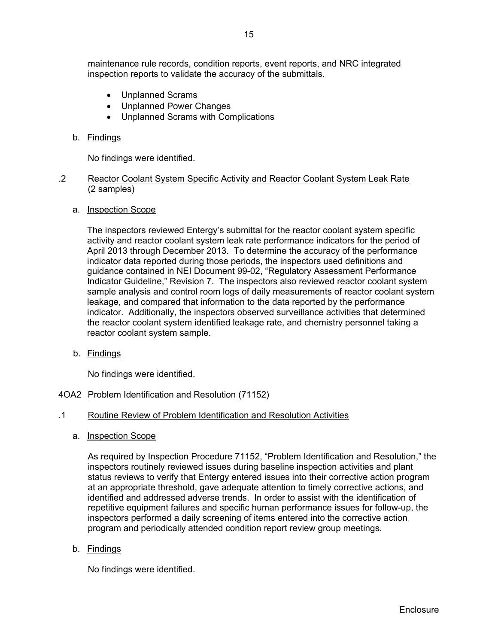maintenance rule records, condition reports, event reports, and NRC integrated inspection reports to validate the accuracy of the submittals.

- Unplanned Scrams
- Unplanned Power Changes
- Unplanned Scrams with Complications

#### b. Findings

No findings were identified.

#### .2 Reactor Coolant System Specific Activity and Reactor Coolant System Leak Rate (2 samples)

#### a. Inspection Scope

The inspectors reviewed Entergy's submittal for the reactor coolant system specific activity and reactor coolant system leak rate performance indicators for the period of April 2013 through December 2013. To determine the accuracy of the performance indicator data reported during those periods, the inspectors used definitions and guidance contained in NEI Document 99-02, "Regulatory Assessment Performance Indicator Guideline," Revision 7. The inspectors also reviewed reactor coolant system sample analysis and control room logs of daily measurements of reactor coolant system leakage, and compared that information to the data reported by the performance indicator. Additionally, the inspectors observed surveillance activities that determined the reactor coolant system identified leakage rate, and chemistry personnel taking a reactor coolant system sample.

b. Findings

No findings were identified.

## 4OA2 Problem Identification and Resolution (71152)

- .1 Routine Review of Problem Identification and Resolution Activities
	- a. Inspection Scope

As required by Inspection Procedure 71152, "Problem Identification and Resolution," the inspectors routinely reviewed issues during baseline inspection activities and plant status reviews to verify that Entergy entered issues into their corrective action program at an appropriate threshold, gave adequate attention to timely corrective actions, and identified and addressed adverse trends. In order to assist with the identification of repetitive equipment failures and specific human performance issues for follow-up, the inspectors performed a daily screening of items entered into the corrective action program and periodically attended condition report review group meetings.

b. Findings

No findings were identified.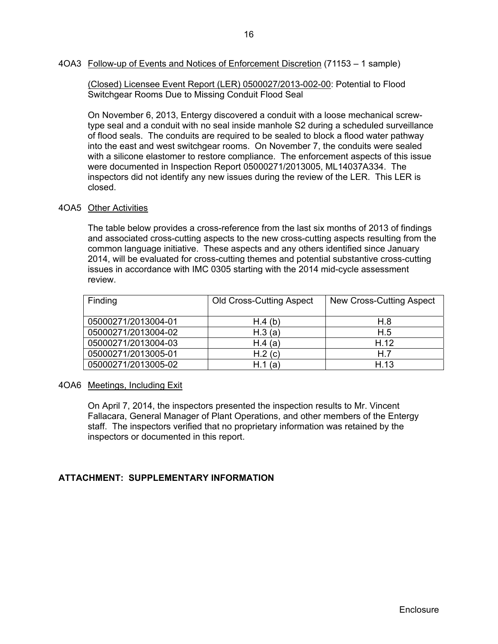(Closed) Licensee Event Report (LER) 0500027/2013-002-00: Potential to Flood Switchgear Rooms Due to Missing Conduit Flood Seal

On November 6, 2013, Entergy discovered a conduit with a loose mechanical screwtype seal and a conduit with no seal inside manhole S2 during a scheduled surveillance of flood seals. The conduits are required to be sealed to block a flood water pathway into the east and west switchgear rooms. On November 7, the conduits were sealed with a silicone elastomer to restore compliance. The enforcement aspects of this issue were documented in Inspection Report 05000271/2013005, ML14037A334. The inspectors did not identify any new issues during the review of the LER. This LER is closed.

## 4OA5 Other Activities

The table below provides a cross-reference from the last six months of 2013 of findings and associated cross-cutting aspects to the new cross-cutting aspects resulting from the common language initiative. These aspects and any others identified since January 2014, will be evaluated for cross-cutting themes and potential substantive cross-cutting issues in accordance with IMC 0305 starting with the 2014 mid-cycle assessment review.

| Finding             | <b>Old Cross-Cutting Aspect</b> | New Cross-Cutting Aspect |
|---------------------|---------------------------------|--------------------------|
| 05000271/2013004-01 | H.4(b)                          | H.8                      |
| 05000271/2013004-02 | H.3(a)                          | H.5                      |
| 05000271/2013004-03 | H.4(a)                          | H.12                     |
| 05000271/2013005-01 | H.2(c)                          | H.7                      |
| 05000271/2013005-02 | H.1(a)                          | H.13                     |

#### 4OA6 Meetings, Including Exit

On April 7, 2014, the inspectors presented the inspection results to Mr. Vincent Fallacara, General Manager of Plant Operations, and other members of the Entergy staff. The inspectors verified that no proprietary information was retained by the inspectors or documented in this report.

## **ATTACHMENT: SUPPLEMENTARY INFORMATION**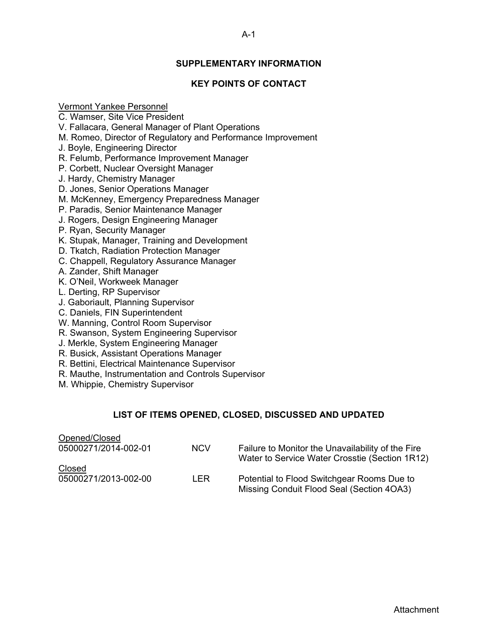# **SUPPLEMENTARY INFORMATION**

# **KEY POINTS OF CONTACT**

Vermont Yankee Personnel

C. Wamser, Site Vice President

V. Fallacara, General Manager of Plant Operations

M. Romeo, Director of Regulatory and Performance Improvement

J. Boyle, Engineering Director

R. Felumb, Performance Improvement Manager

P. Corbett, Nuclear Oversight Manager

J. Hardy, Chemistry Manager

D. Jones, Senior Operations Manager

M. McKenney, Emergency Preparedness Manager

P. Paradis, Senior Maintenance Manager

J. Rogers, Design Engineering Manager

P. Ryan, Security Manager

K. Stupak, Manager, Training and Development

D. Tkatch, Radiation Protection Manager

C. Chappell, Regulatory Assurance Manager

A. Zander, Shift Manager

K. O'Neil, Workweek Manager

L. Derting, RP Supervisor

J. Gaboriault, Planning Supervisor

C. Daniels, FIN Superintendent

W. Manning, Control Room Supervisor

R. Swanson, System Engineering Supervisor

J. Merkle, System Engineering Manager

R. Busick, Assistant Operations Manager

R. Bettini, Electrical Maintenance Supervisor

R. Mauthe, Instrumentation and Controls Supervisor

M. Whippie, Chemistry Supervisor

# **LIST OF ITEMS OPENED, CLOSED, DISCUSSED AND UPDATED**

| Opened/Closed        |            |                                                                                                     |
|----------------------|------------|-----------------------------------------------------------------------------------------------------|
| 05000271/2014-002-01 | <b>NCV</b> | Failure to Monitor the Unavailability of the Fire<br>Water to Service Water Crosstie (Section 1R12) |
| Closed               |            |                                                                                                     |
| 05000271/2013-002-00 | I FR.      | Potential to Flood Switchgear Rooms Due to<br>Missing Conduit Flood Seal (Section 4OA3)             |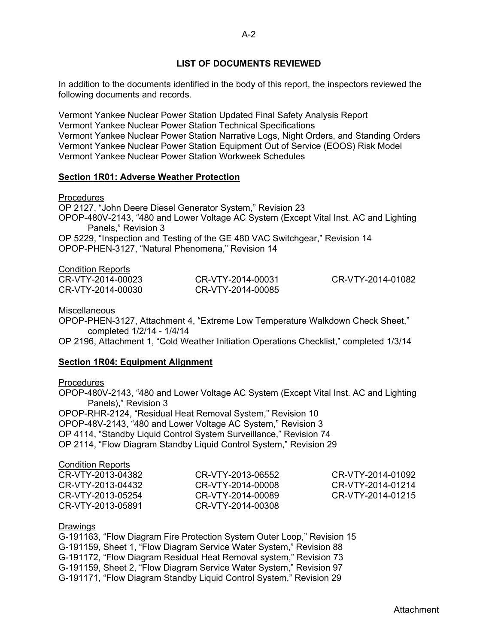## **LIST OF DOCUMENTS REVIEWED**

In addition to the documents identified in the body of this report, the inspectors reviewed the following documents and records.

Vermont Yankee Nuclear Power Station Updated Final Safety Analysis Report Vermont Yankee Nuclear Power Station Technical Specifications Vermont Yankee Nuclear Power Station Narrative Logs, Night Orders, and Standing Orders Vermont Yankee Nuclear Power Station Equipment Out of Service (EOOS) Risk Model Vermont Yankee Nuclear Power Station Workweek Schedules

#### **Section 1R01: Adverse Weather Protection**

**Procedures** 

OP 2127, "John Deere Diesel Generator System," Revision 23 OPOP-480V-2143, "480 and Lower Voltage AC System (Except Vital Inst. AC and Lighting Panels," Revision 3 OP 5229, "Inspection and Testing of the GE 480 VAC Switchgear," Revision 14

OPOP-PHEN-3127, "Natural Phenomena," Revision 14

#### Condition Reports

| CR-VTY-2014-00023 | CR-VTY-2014-00031 | CR-VTY-2014-01082 |
|-------------------|-------------------|-------------------|
| CR-VTY-2014-00030 | CR-VTY-2014-00085 |                   |

#### **Miscellaneous**

OPOP-PHEN-3127, Attachment 4, "Extreme Low Temperature Walkdown Check Sheet," completed 1/2/14 - 1/4/14

OP 2196, Attachment 1, "Cold Weather Initiation Operations Checklist," completed 1/3/14

#### **Section 1R04: Equipment Alignment**

#### **Procedures**

OPOP-480V-2143, "480 and Lower Voltage AC System (Except Vital Inst. AC and Lighting Panels)," Revision 3 OPOP-RHR-2124, "Residual Heat Removal System," Revision 10

OPOP-48V-2143, "480 and Lower Voltage AC System," Revision 3 OP 4114, "Standby Liquid Control System Surveillance," Revision 74

OP 2114, "Flow Diagram Standby Liquid Control System," Revision 29

#### Condition Reports

| CR-VTY-2013-04382 | CR-VTY-2013-06552 | CR-VTY-2014-01092 |
|-------------------|-------------------|-------------------|
| CR-VTY-2013-04432 | CR-VTY-2014-00008 | CR-VTY-2014-01214 |
| CR-VTY-2013-05254 | CR-VTY-2014-00089 | CR-VTY-2014-01215 |
| CR-VTY-2013-05891 | CR-VTY-2014-00308 |                   |

#### Drawings

G-191163, "Flow Diagram Fire Protection System Outer Loop," Revision 15 G-191159, Sheet 1, "Flow Diagram Service Water System," Revision 88 G-191172, "Flow Diagram Residual Heat Removal system," Revision 73 G-191159, Sheet 2, "Flow Diagram Service Water System," Revision 97 G-191171, "Flow Diagram Standby Liquid Control System," Revision 29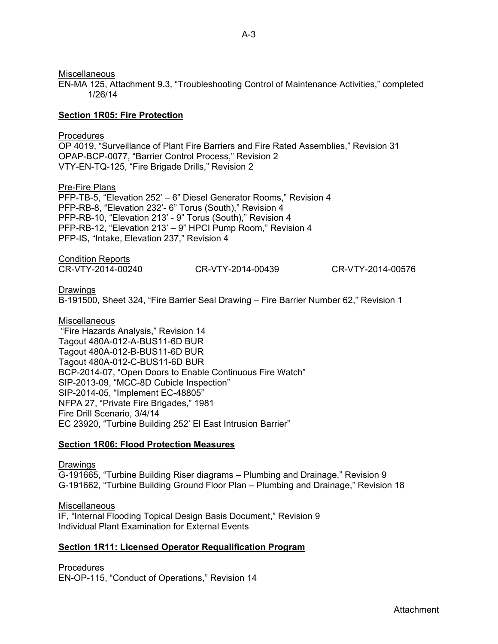**Miscellaneous** 

EN-MA 125, Attachment 9.3, "Troubleshooting Control of Maintenance Activities," completed 1/26/14

## **Section 1R05: Fire Protection**

## Procedures

OP 4019, "Surveillance of Plant Fire Barriers and Fire Rated Assemblies," Revision 31 OPAP-BCP-0077, "Barrier Control Process," Revision 2 VTY-EN-TQ-125, "Fire Brigade Drills," Revision 2

Pre-Fire Plans PFP-TB-5, "Elevation 252' – 6" Diesel Generator Rooms," Revision 4 PFP-RB-8, "Elevation 232'- 6" Torus (South)," Revision 4 PFP-RB-10, "Elevation 213' - 9" Torus (South)," Revision 4 PFP-RB-12, "Elevation 213' – 9" HPCI Pump Room," Revision 4 PFP-IS, "Intake, Elevation 237," Revision 4

Condition Reports CR-VTY-2014-00240 CR-VTY-2014-00439 CR-VTY-2014-00576

## Drawings

B-191500, Sheet 324, "Fire Barrier Seal Drawing – Fire Barrier Number 62," Revision 1

## Miscellaneous

 "Fire Hazards Analysis," Revision 14 Tagout 480A-012-A-BUS11-6D BUR Tagout 480A-012-B-BUS11-6D BUR Tagout 480A-012-C-BUS11-6D BUR BCP-2014-07, "Open Doors to Enable Continuous Fire Watch" SIP-2013-09, "MCC-8D Cubicle Inspection" SIP-2014-05, "Implement EC-48805" NFPA 27, "Private Fire Brigades," 1981 Fire Drill Scenario, 3/4/14 EC 23920, "Turbine Building 252' El East Intrusion Barrier"

## **Section 1R06: Flood Protection Measures**

**Drawings** G-191665, "Turbine Building Riser diagrams – Plumbing and Drainage," Revision 9 G-191662, "Turbine Building Ground Floor Plan – Plumbing and Drainage," Revision 18

Miscellaneous IF, "Internal Flooding Topical Design Basis Document," Revision 9 Individual Plant Examination for External Events

# **Section 1R11: Licensed Operator Requalification Program**

Procedures

EN-OP-115, "Conduct of Operations," Revision 14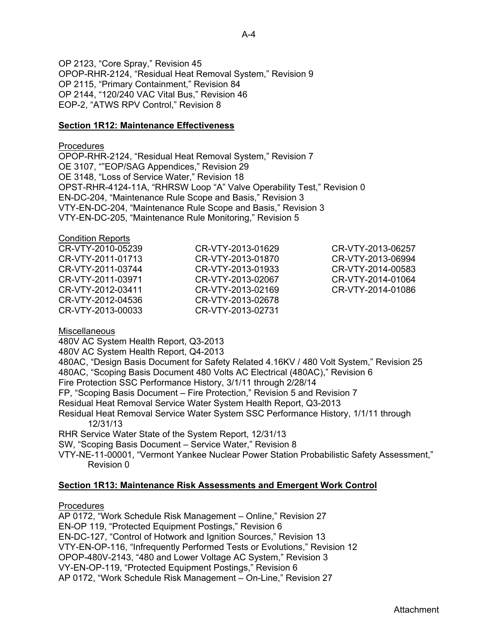OP 2123, "Core Spray," Revision 45 OPOP-RHR-2124, "Residual Heat Removal System," Revision 9 OP 2115, "Primary Containment," Revision 84 OP 2144, "120/240 VAC Vital Bus," Revision 46 EOP-2, "ATWS RPV Control," Revision 8

#### **Section 1R12: Maintenance Effectiveness**

#### Procedures

OPOP-RHR-2124, "Residual Heat Removal System," Revision 7 OE 3107, ""EOP/SAG Appendices," Revision 29 OE 3148, "Loss of Service Water," Revision 18 OPST-RHR-4124-11A, "RHRSW Loop "A" Valve Operability Test," Revision 0 EN-DC-204, "Maintenance Rule Scope and Basis," Revision 3 VTY-EN-DC-204, "Maintenance Rule Scope and Basis," Revision 3 VTY-EN-DC-205, "Maintenance Rule Monitoring," Revision 5

#### Condition Reports

| CR-VTY-2010-05239 | CR-VTY-2013-01629 | CR-VTY-2013-06257 |
|-------------------|-------------------|-------------------|
| CR-VTY-2011-01713 | CR-VTY-2013-01870 | CR-VTY-2013-06994 |
| CR-VTY-2011-03744 | CR-VTY-2013-01933 | CR-VTY-2014-00583 |
| CR-VTY-2011-03971 | CR-VTY-2013-02067 | CR-VTY-2014-01064 |
| CR-VTY-2012-03411 | CR-VTY-2013-02169 | CR-VTY-2014-01086 |
| CR-VTY-2012-04536 | CR-VTY-2013-02678 |                   |
| CR-VTY-2013-00033 | CR-VTY-2013-02731 |                   |

#### **Miscellaneous**

480V AC System Health Report, Q3-2013

480V AC System Health Report, Q4-2013

480AC, "Design Basis Document for Safety Related 4.16KV / 480 Volt System," Revision 25 480AC, "Scoping Basis Document 480 Volts AC Electrical (480AC)," Revision 6

Fire Protection SSC Performance History, 3/1/11 through 2/28/14

FP, "Scoping Basis Document – Fire Protection," Revision 5 and Revision 7

Residual Heat Removal Service Water System Health Report, Q3-2013

Residual Heat Removal Service Water System SSC Performance History, 1/1/11 through 12/31/13

RHR Service Water State of the System Report, 12/31/13

SW, "Scoping Basis Document – Service Water," Revision 8

VTY-NE-11-00001, "Vermont Yankee Nuclear Power Station Probabilistic Safety Assessment," Revision 0

## **Section 1R13: Maintenance Risk Assessments and Emergent Work Control**

## **Procedures**

AP 0172, "Work Schedule Risk Management – Online," Revision 27 EN-OP 119, "Protected Equipment Postings," Revision 6 EN-DC-127, "Control of Hotwork and Ignition Sources," Revision 13 VTY-EN-OP-116, "Infrequently Performed Tests or Evolutions," Revision 12 OPOP-480V-2143, "480 and Lower Voltage AC System," Revision 3 VY-EN-OP-119, "Protected Equipment Postings," Revision 6 AP 0172, "Work Schedule Risk Management – On-Line," Revision 27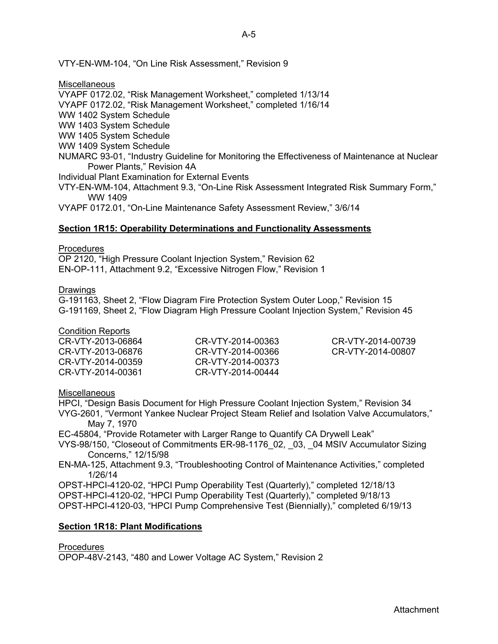VTY-EN-WM-104, "On Line Risk Assessment," Revision 9

**Miscellaneous** VYAPF 0172.02, "Risk Management Worksheet," completed 1/13/14 VYAPF 0172.02, "Risk Management Worksheet," completed 1/16/14 WW 1402 System Schedule WW 1403 System Schedule WW 1405 System Schedule WW 1409 System Schedule NUMARC 93-01, "Industry Guideline for Monitoring the Effectiveness of Maintenance at Nuclear Power Plants," Revision 4A Individual Plant Examination for External Events VTY-EN-WM-104, Attachment 9.3, "On-Line Risk Assessment Integrated Risk Summary Form," WW 1409 VYAPF 0172.01, "On-Line Maintenance Safety Assessment Review," 3/6/14

#### **Section 1R15: Operability Determinations and Functionality Assessments**

#### Procedures

OP 2120, "High Pressure Coolant Injection System," Revision 62 EN-OP-111, Attachment 9.2, "Excessive Nitrogen Flow," Revision 1

#### Drawings

G-191163, Sheet 2, "Flow Diagram Fire Protection System Outer Loop," Revision 15 G-191169, Sheet 2, "Flow Diagram High Pressure Coolant Injection System," Revision 45

#### Condition Reports

CR-VTY-2013-06864 CR-VTY-2013-06876 CR-VTY-2014-00359 CR-VTY-2014-00361

CR-VTY-2014-00363 CR-VTY-2014-00366 CR-VTY-2014-00373 CR-VTY-2014-00444

CR-VTY-2014-00739 CR-VTY-2014-00807

#### **Miscellaneous**

HPCI, "Design Basis Document for High Pressure Coolant Injection System," Revision 34 VYG-2601, "Vermont Yankee Nuclear Project Steam Relief and Isolation Valve Accumulators," May 7, 1970

EC-45804, "Provide Rotameter with Larger Range to Quantify CA Drywell Leak"

VYS-98/150, "Closeout of Commitments ER-98-1176\_02, \_03, \_04 MSIV Accumulator Sizing Concerns," 12/15/98

EN-MA-125, Attachment 9.3, "Troubleshooting Control of Maintenance Activities," completed 1/26/14

OPST-HPCI-4120-02, "HPCI Pump Operability Test (Quarterly)," completed 12/18/13 OPST-HPCI-4120-02, "HPCI Pump Operability Test (Quarterly)," completed 9/18/13 OPST-HPCI-4120-03, "HPCI Pump Comprehensive Test (Biennially)," completed 6/19/13

#### **Section 1R18: Plant Modifications**

**Procedures** 

OPOP-48V-2143, "480 and Lower Voltage AC System," Revision 2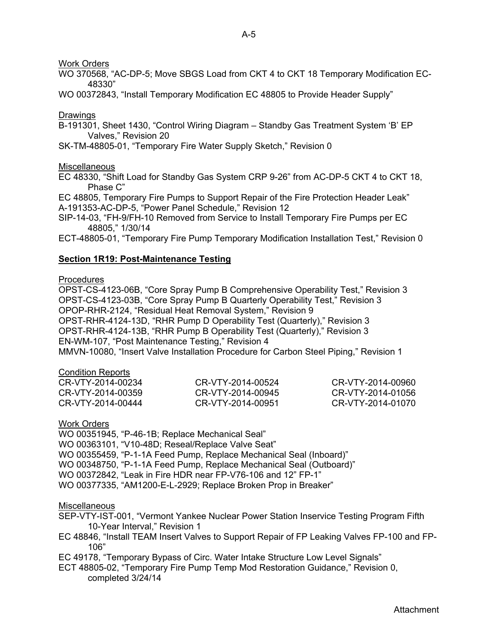Work Orders

WO 370568, "AC-DP-5; Move SBGS Load from CKT 4 to CKT 18 Temporary Modification EC-48330"

WO 00372843, "Install Temporary Modification EC 48805 to Provide Header Supply"

## Drawings

B-191301, Sheet 1430, "Control Wiring Diagram – Standby Gas Treatment System 'B' EP Valves," Revision 20

SK-TM-48805-01, "Temporary Fire Water Supply Sketch," Revision 0

**Miscellaneous** 

EC 48330, "Shift Load for Standby Gas System CRP 9-26" from AC-DP-5 CKT 4 to CKT 18, Phase C"

EC 48805, Temporary Fire Pumps to Support Repair of the Fire Protection Header Leak" A-191353-AC-DP-5, "Power Panel Schedule," Revision 12

SIP-14-03, "FH-9/FH-10 Removed from Service to Install Temporary Fire Pumps per EC 48805," 1/30/14

ECT-48805-01, "Temporary Fire Pump Temporary Modification Installation Test," Revision 0

# **Section 1R19: Post-Maintenance Testing**

## **Procedures**

OPST-CS-4123-06B, "Core Spray Pump B Comprehensive Operability Test," Revision 3 OPST-CS-4123-03B, "Core Spray Pump B Quarterly Operability Test," Revision 3 OPOP-RHR-2124, "Residual Heat Removal System," Revision 9 OPST-RHR-4124-13D, "RHR Pump D Operability Test (Quarterly)," Revision 3 OPST-RHR-4124-13B, "RHR Pump B Operability Test (Quarterly)," Revision 3 EN-WM-107, "Post Maintenance Testing," Revision 4 MMVN-10080, "Insert Valve Installation Procedure for Carbon Steel Piping," Revision 1

## Condition Reports

| CR-VTY-2014-00234 | CR-VTY-2014-00524 | CR-VTY-2014-00960 |
|-------------------|-------------------|-------------------|
| CR-VTY-2014-00359 | CR-VTY-2014-00945 | CR-VTY-2014-01056 |
| CR-VTY-2014-00444 | CR-VTY-2014-00951 | CR-VTY-2014-01070 |

Work Orders

WO 00351945, "P-46-1B; Replace Mechanical Seal" WO 00363101, "V10-48D; Reseal/Replace Valve Seat" WO 00355459, "P-1-1A Feed Pump, Replace Mechanical Seal (Inboard)" WO 00348750, "P-1-1A Feed Pump, Replace Mechanical Seal (Outboard)" WO 00372842, "Leak in Fire HDR near FP-V76-106 and 12" FP-1" WO 00377335, "AM1200-E-L-2929; Replace Broken Prop in Breaker"

# Miscellaneous

- SEP-VTY-IST-001, "Vermont Yankee Nuclear Power Station Inservice Testing Program Fifth 10-Year Interval," Revision 1
- EC 48846, "Install TEAM Insert Valves to Support Repair of FP Leaking Valves FP-100 and FP-106"

EC 49178, "Temporary Bypass of Circ. Water Intake Structure Low Level Signals"

ECT 48805-02, "Temporary Fire Pump Temp Mod Restoration Guidance," Revision 0, completed 3/24/14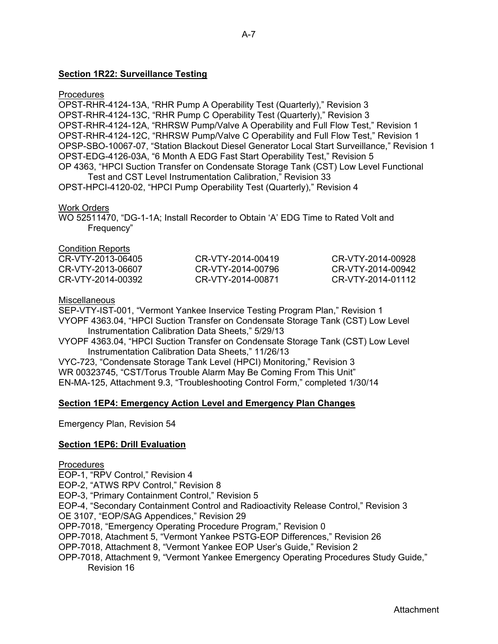## **Section 1R22: Surveillance Testing**

## **Procedures**

OPST-RHR-4124-13A, "RHR Pump A Operability Test (Quarterly)," Revision 3 OPST-RHR-4124-13C, "RHR Pump C Operability Test (Quarterly)," Revision 3 OPST-RHR-4124-12A, "RHRSW Pump/Valve A Operability and Full Flow Test," Revision 1 OPST-RHR-4124-12C, "RHRSW Pump/Valve C Operability and Full Flow Test," Revision 1 OPSP-SBO-10067-07, "Station Blackout Diesel Generator Local Start Surveillance," Revision 1 OPST-EDG-4126-03A, "6 Month A EDG Fast Start Operability Test," Revision 5 OP 4363, "HPCI Suction Transfer on Condensate Storage Tank (CST) Low Level Functional Test and CST Level Instrumentation Calibration," Revision 33

OPST-HPCI-4120-02, "HPCI Pump Operability Test (Quarterly)," Revision 4

## Work Orders

WO 52511470, "DG-1-1A; Install Recorder to Obtain 'A' EDG Time to Rated Volt and Frequency"

#### Condition Reports

| CR-VTY-2014-00419 | CR-VTY-2014-00928 |
|-------------------|-------------------|
| CR-VTY-2014-00796 | CR-VTY-2014-00942 |
| CR-VTY-2014-00871 | CR-VTY-2014-01112 |
|                   |                   |

#### Miscellaneous

SEP-VTY-IST-001, "Vermont Yankee Inservice Testing Program Plan," Revision 1 VYOPF 4363.04, "HPCI Suction Transfer on Condensate Storage Tank (CST) Low Level Instrumentation Calibration Data Sheets," 5/29/13

VYOPF 4363.04, "HPCI Suction Transfer on Condensate Storage Tank (CST) Low Level Instrumentation Calibration Data Sheets," 11/26/13

VYC-723, "Condensate Storage Tank Level (HPCI) Monitoring," Revision 3 WR 00323745, "CST/Torus Trouble Alarm May Be Coming From This Unit" EN-MA-125, Attachment 9.3, "Troubleshooting Control Form," completed 1/30/14

## **Section 1EP4: Emergency Action Level and Emergency Plan Changes**

Emergency Plan, Revision 54

## **Section 1EP6: Drill Evaluation**

#### **Procedures**

EOP-1, "RPV Control," Revision 4 EOP-2, "ATWS RPV Control," Revision 8 EOP-3, "Primary Containment Control," Revision 5 EOP-4, "Secondary Containment Control and Radioactivity Release Control," Revision 3 OE 3107, "EOP/SAG Appendices," Revision 29 OPP-7018, "Emergency Operating Procedure Program," Revision 0 OPP-7018, Atachment 5, "Vermont Yankee PSTG-EOP Differences," Revision 26 OPP-7018, Attachment 8, "Vermont Yankee EOP User's Guide," Revision 2 OPP-7018, Attachment 9, "Vermont Yankee Emergency Operating Procedures Study Guide," Revision 16